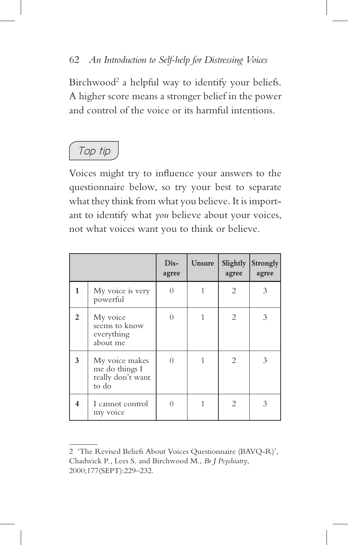

Voices might try to influence your answers to the questionnaire below, so try your best to separate what they think from what you believe. It is important to identify what *you* believe about your voices, not what voices want you to think or believe.

|                |                                                                | Dis-<br>agree | Unsure | Slightly<br>agree | Strongly<br>agree |
|----------------|----------------------------------------------------------------|---------------|--------|-------------------|-------------------|
| 1              | My voice is very<br>powerful                                   |               |        | 2                 | 3                 |
| $\mathfrak{p}$ | My voice<br>seems to know<br>everything<br>about me            | $\cup$        |        | 2                 | 3                 |
| 3              | My voice makes<br>me do things I<br>really don't want<br>to do | $\Omega$      |        | 2                 | 3                 |
|                | I cannot control<br>my voice                                   |               |        | 2                 |                   |